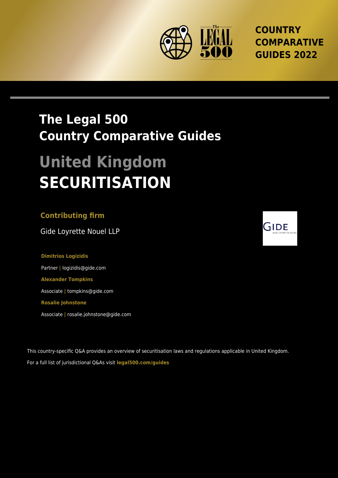

**COUNTRY COMPARATIVE GUIDES 2022**

## **The Legal 500 Country Comparative Guides**

# **United Kingdom SECURITISATION**

#### **Contributing firm**

Gide Loyrette Nouel LLP

**Dimitrios Logizidis** Partner **|** logizidis@gide.com **Alexander Tompkins** Associate **|** tompkins@gide.com **Rosalie Johnstone**

Associate **|** rosalie.johnstone@gide.com

This country-specific Q&A provides an overview of securitisation laws and regulations applicable in United Kingdom. For a full list of jurisdictional Q&As visit **[legal500.com/guides](https://www.legal500.com/guides/)**

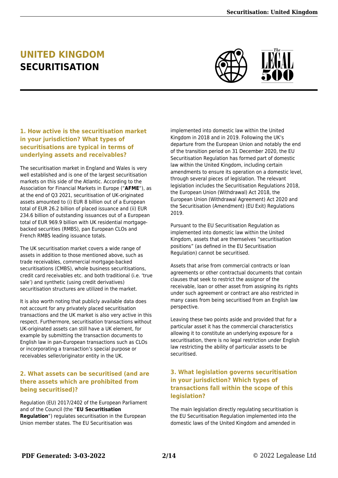### **UNITED KINGDOM SECURITISATION**



#### **1. How active is the securitisation market in your jurisdiction? What types of securitisations are typical in terms of underlying assets and receivables?**

The securitisation market in England and Wales is very well established and is one of the largest securitisation markets on this side of the Atlantic. According to the Association for Financial Markets in Europe ("**AFME**"), as at the end of Q3 2021, securitisation of UK-originated assets amounted to (i) EUR 8 billion out of a European total of EUR 26.2 billion of placed issuance and (ii) EUR 234.6 billion of outstanding issuances out of a European total of EUR 969.9 billion with UK residential mortgagebacked securities (RMBS), pan European CLOs and French RMBS leading issuance totals.

The UK securitisation market covers a wide range of assets in addition to those mentioned above, such as trade receivables, commercial mortgage-backed securitisations (CMBS), whole business securitisations, credit card receivables etc. and both traditional (i.e. 'true sale') and synthetic (using credit derivatives) securitisation structures are utilized in the market.

It is also worth noting that publicly available data does not account for any privately placed securitisation transactions and the UK market is also very active in this respect. Furthermore, securitisation transactions without UK-originated assets can still have a UK element, for example by submitting the transaction documents to English law in pan-European transactions such as CLOs or incorporating a transaction's special purpose or receivables seller/originator entity in the UK.

#### **2. What assets can be securitised (and are there assets which are prohibited from being securitised)?**

Regulation (EU) 2017/2402 of the European Parliament and of the Council (the "**EU Securitisation Regulation**") regulates securitisation in the European Union member states. The EU Securitisation was

implemented into domestic law within the United Kingdom in 2018 and in 2019. Following the UK's departure from the European Union and notably the end of the transition period on 31 December 2020, the EU Securitisation Regulation has formed part of domestic law within the United Kingdom, including certain amendments to ensure its operation on a domestic level, through several pieces of legislation. The relevant legislation includes the Securitisation Regulations 2018, the European Union (Withdrawal) Act 2018, the European Union (Withdrawal Agreement) Act 2020 and the Securitisation (Amendment) (EU Exit) Regulations 2019.

Pursuant to the EU Securitisation Regulation as implemented into domestic law within the United Kingdom, assets that are themselves "securitisation positions" (as defined in the EU Securitisation Regulation) cannot be securitised.

Assets that arise from commercial contracts or loan agreements or other contractual documents that contain clauses that seek to restrict the assignor of the receivable, loan or other asset from assigning its rights under such agreement or contract are also restricted in many cases from being securitised from an English law perspective.

Leaving these two points aside and provided that for a particular asset it has the commercial characteristics allowing it to constitute an underlying exposure for a securitisation, there is no legal restriction under English law restricting the ability of particular assets to be securitised.

#### **3. What legislation governs securitisation in your jurisdiction? Which types of transactions fall within the scope of this legislation?**

The main legislation directly regulating securitisation is the EU Securitisation Regulation implemented into the domestic laws of the United Kingdom and amended in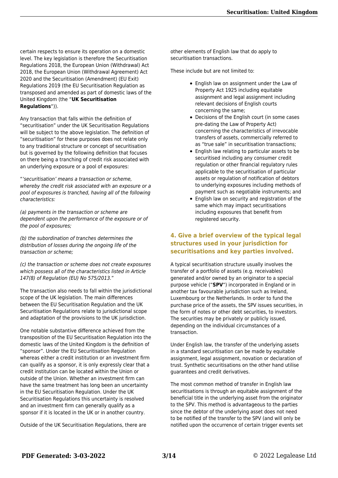certain respects to ensure its operation on a domestic level. The key legislation is therefore the Securitisation Regulations 2018, the European Union (Withdrawal) Act 2018, the European Union (Withdrawal Agreement) Act 2020 and the Securitisation (Amendment) (EU Exit) Regulations 2019 (the EU Securitisation Regulation as transposed and amended as part of domestic laws of the United Kingdom (the "**UK Securitisation Regulations**")).

Any transaction that falls within the definition of "securitisation" under the UK Securitisation Regulations will be subject to the above legislation. The definition of "securitisation" for these purposes does not relate only to any traditional structure or concept of securitisation but is governed by the following definition that focuses on there being a tranching of credit risk associated with an underlying exposure or a pool of exposures:

"'securitisation' means a transaction or scheme, whereby the credit risk associated with an exposure or a pool of exposures is tranched, having all of the following characteristics:

(a) payments in the transaction or scheme are dependent upon the performance of the exposure or of the pool of exposures;

(b) the subordination of tranches determines the distribution of losses during the ongoing life of the transaction or scheme;

(c) the transaction or scheme does not create exposures which possess all of the characteristics listed in Article 147(8) of Regulation (EU) No 575/2013."

The transaction also needs to fall within the jurisdictional scope of the UK legislation. The main differences between the EU Securitisation Regulation and the UK Securitisation Regulations relate to jurisdictional scope and adaptation of the provisions to the UK jurisdiction.

One notable substantive difference achieved from the transposition of the EU Securitisation Regulation into the domestic laws of the United Kingdom is the definition of "sponsor". Under the EU Securitisation Regulation whereas either a credit institution or an investment firm can qualify as a sponsor, it is only expressly clear that a credit institution can be located within the Union or outside of the Union. Whether an investment firm can have the same treatment has long been an uncertainty in the EU Securitisation Regulation. Under the UK Securitisation Regulations this uncertainty is resolved and an investment firm can generally qualify as a sponsor if it is located in the UK or in another country.

Outside of the UK Securitisation Regulations, there are

other elements of English law that do apply to securitisation transactions.

These include but are not limited to:

- English law on assignment under the Law of Property Act 1925 including equitable assignment and legal assignment including relevant decisions of English courts concerning the same;
- Decisions of the English court (in some cases pre-dating the Law of Property Act) concerning the characteristics of irrevocable transfers of assets, commercially referred to as "true sale" in securitisation transactions;
- English law relating to particular assets to be securitised including any consumer credit regulation or other financial regulatory rules applicable to the securitisation of particular assets or regulation of notification of debtors to underlying exposures including methods of payment such as negotiable instruments; and
- English law on security and registration of the same which may impact securitisations including exposures that benefit from registered security.

#### **4. Give a brief overview of the typical legal structures used in your jurisdiction for securitisations and key parties involved.**

A typical securitisation structure usually involves the transfer of a portfolio of assets (e.g. receivables) generated and/or owned by an originator to a special purpose vehicle ("**SPV**") incorporated in England or in another tax favourable jurisdiction such as Ireland, Luxembourg or the Netherlands. In order to fund the purchase price of the assets, the SPV issues securities, in the form of notes or other debt securities, to investors. The securities may be privately or publicly issued, depending on the individual circumstances of a transaction.

Under English law, the transfer of the underlying assets in a standard securitisation can be made by equitable assignment, legal assignment, novation or declaration of trust. Synthetic securitisations on the other hand utilise guarantees and credit derivatives.

The most common method of transfer in English law securitisations is through an equitable assignment of the beneficial title in the underlying asset from the originator to the SPV. This method is advantageous to the parties since the debtor of the underlying asset does not need to be notified of the transfer to the SPV (and will only be notified upon the occurrence of certain trigger events set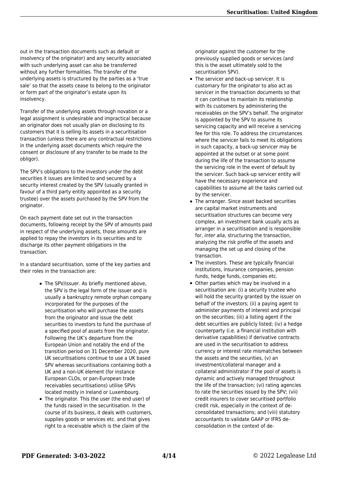out in the transaction documents such as default or insolvency of the originator) and any security associated with such underlying asset can also be transferred without any further formalities. The transfer of the underlying assets is structured by the parties as a 'true sale' so that the assets cease to belong to the originator or form part of the originator's estate upon its insolvency.

Transfer of the underlying assets through novation or a legal assignment is undesirable and impractical because an originator does not usually plan on disclosing to its customers that it is selling its assets in a securitisation transaction (unless there are any contractual restrictions in the underlying asset documents which require the consent or disclosure of any transfer to be made to the obligor).

The SPV's obligations to the investors under the debt securities it issues are limited to and secured by a security interest created by the SPV (usually granted in favour of a third party entity appointed as a security trustee) over the assets purchased by the SPV from the originator.

On each payment date set out in the transaction documents, following receipt by the SPV of amounts paid in respect of the underlying assets, those amounts are applied to repay the investors in its securities and to discharge its other payment obligations in the transaction.

In a standard securitisation, some of the key parties and their roles in the transaction are:

- The SPV/issuer. As briefly mentioned above, the SPV is the legal form of the issuer and is usually a bankruptcy remote orphan company incorporated for the purposes of the securitisation who will purchase the assets from the originator and issue the debt securities to investors to fund the purchase of a specified pool of assets from the originator. Following the UK's departure from the European Union and notably the end of the transition period on 31 December 2020, pure UK securitisations continue to use a UK based SPV whereas securitisations containing both a UK and a non-UK element (for instance European CLOs, or pan-European trade receivables securitisations) utilise SPVs located mostly in Ireland or Luxembourg.
- The originator. This the user (the end user) of the funds raised in the securitisation. In the course of its business, it deals with customers, supplies goods or services etc. and that gives right to a receivable which is the claim of the

originator against the customer for the previously supplied goods or services (and this is the asset ultimately sold to the securitisation SPV).

- The servicer and back-up servicer. It is customary for the originator to also act as servicer in the transaction documents so that it can continue to maintain its relationship with its customers by administering the receivables on the SPV's behalf. The originator is appointed by the SPV to assume its servicing capacity and will receive a servicing fee for this role. To address the circumstances where the servicer fails to meet its obligations in such capacity, a back-up servicer may be appointed at the outset or at some point during the life of the transaction to assume the servicing role in the event of default by the servicer. Such back-up servicer entity will have the necessary experience and capabilities to assume all the tasks carried out by the servicer.
- The arranger. Since asset backed securities are capital market instruments and securitisation structures can become very complex, an investment bank usually acts as arranger in a securitisation and is responsible for, inter alia, structuring the transaction, analyzing the risk profile of the assets and managing the set up and closing of the transaction.
- The investors. These are typically financial institutions, insurance companies, pension funds, hedge funds, companies etc.
- Other parties which may be involved in a securitisation are: (i) a security trustee who will hold the security granted by the issuer on behalf of the investors; (ii) a paying agent to administer payments of interest and principal on the securities; (iii) a listing agent if the debt securities are publicly listed; (iv) a hedge counterparty (i.e. a financial institution with derivative capabilities) if derivative contracts are used in the securitisation to address currency or interest rate mismatches between the assets and the securities, (v) an investment/collateral manager and a collateral administrator if the pool of assets is dynamic and actively managed throughout the life of the transaction; (vi) rating agencies to rate the securities issued by the SPV; (vii) credit insurers to cover securitised portfolio credit risk, especially in the context of deconsolidated transactions; and (viii) statutory accountants to validate GAAP or IFRS deconsolidation in the context of de-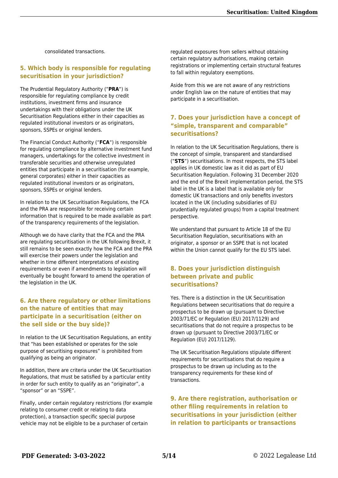consolidated transactions.

#### **5. Which body is responsible for regulating securitisation in your jurisdiction?**

The Prudential Regulatory Authority ("**PRA**") is responsible for regulating compliance by credit institutions, investment firms and insurance undertakings with their obligations under the UK Securitisation Regulations either in their capacities as regulated institutional investors or as originators, sponsors, SSPEs or original lenders.

The Financial Conduct Authority ("**FCA**") is responsible for regulating compliance by alternative investment fund managers, undertakings for the collective investment in transferable securities and otherwise unregulated entities that participate in a securitisation (for example, general corporates) either in their capacities as regulated institutional investors or as originators, sponsors, SSPEs or original lenders.

In relation to the UK Securitisation Regulations, the FCA and the PRA are responsible for receiving certain information that is required to be made available as part of the transparency requirements of the legislation.

Although we do have clarity that the FCA and the PRA are regulating securitisation in the UK following Brexit, it still remains to be seen exactly how the FCA and the PRA will exercise their powers under the legislation and whether in time different interpretations of existing requirements or even if amendments to legislation will eventually be bought forward to amend the operation of the legislation in the UK.

#### **6. Are there regulatory or other limitations on the nature of entities that may participate in a securitisation (either on the sell side or the buy side)?**

In relation to the UK Securitisation Regulations, an entity that "has been established or operates for the sole purpose of securitising exposures" is prohibited from qualifying as being an originator.

In addition, there are criteria under the UK Securitisation Regulations, that must be satisfied by a particular entity in order for such entity to qualify as an "originator", a "sponsor" or an "SSPE".

Finally, under certain regulatory restrictions (for example relating to consumer credit or relating to data protection), a transaction specific special purpose vehicle may not be eligible to be a purchaser of certain

regulated exposures from sellers without obtaining certain regulatory authorisations, making certain registrations or implementing certain structural features to fall within regulatory exemptions.

Aside from this we are not aware of any restrictions under English law on the nature of entities that may participate in a securitisation.

#### **7. Does your jurisdiction have a concept of "simple, transparent and comparable" securitisations?**

In relation to the UK Securitisation Regulations, there is the concept of simple, transparent and standardised ("**STS**") securitisations. In most respects, the STS label applies in UK domestic law as it did as part of EU Securitisation Regulation. Following 31 December 2020 and the end of the Brexit implementation period, the STS label in the UK is a label that is available only for domestic UK transactions and only benefits investors located in the UK (including subsidiaries of EU prudentially regulated groups) from a capital treatment perspective.

We understand that pursuant to Article 18 of the EU Securitisation Regulation, securitisations with an originator, a sponsor or an SSPE that is not located within the Union cannot qualify for the EU STS label.

#### **8. Does your jurisdiction distinguish between private and public securitisations?**

Yes. There is a distinction in the UK Securitisation Regulations between securitisations that do require a prospectus to be drawn up (pursuant to Directive 2003/71/EC or Regulation (EU) 2017/1129) and securitisations that do not require a prospectus to be drawn up (pursuant to Directive 2003/71/EC or Regulation (EU) 2017/1129).

The UK Securitisation Regulations stipulate different requirements for securitisations that do require a prospectus to be drawn up including as to the transparency requirements for these kind of transactions.

**9. Are there registration, authorisation or other filing requirements in relation to securitisations in your jurisdiction (either in relation to participants or transactions**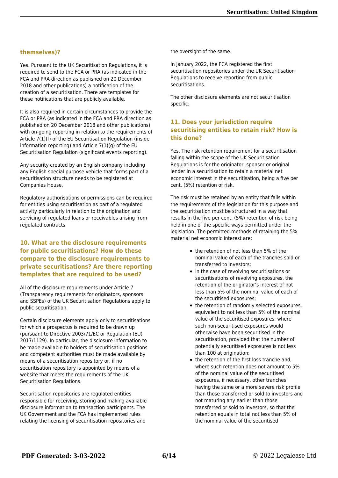#### **themselves)?**

Yes. Pursuant to the UK Securitisation Regulations, it is required to send to the FCA or PRA (as indicated in the FCA and PRA direction as published on 20 December 2018 and other publications) a notification of the creation of a securitisation. There are templates for these notifications that are publicly available.

It is also required in certain circumstances to provide the FCA or PRA (as indicated in the FCA and PRA direction as published on 20 December 2018 and other publications) with on-going reporting in relation to the requirements of Article 7(1)(f) of the EU Securitisation Regulation (inside information reporting) and Article 7(1)(g) of the EU Securitisation Regulation (significant events reporting).

Any security created by an English company including any English special purpose vehicle that forms part of a securitisation structure needs to be registered at Companies House.

Regulatory authorisations or permissions can be required for entities using securitisation as part of a regulated activity particularly in relation to the origination and servicing of regulated loans or receivables arising from regulated contracts.

#### **10. What are the disclosure requirements for public securitisations? How do these compare to the disclosure requirements to private securitisations? Are there reporting templates that are required to be used?**

All of the disclosure requirements under Article 7 (Transparency requirements for originators, sponsors and SSPEs) of the UK Securitisation Regulations apply to public securitisation.

Certain disclosure elements apply only to securitisations for which a prospectus is required to be drawn up (pursuant to Directive 2003/71/EC or Regulation (EU) 2017/1129). In particular, the disclosure information to be made available to holders of securitisation positions and competent authorities must be made available by means of a securitisation repository or, if no securitisation repository is appointed by means of a website that meets the requirements of the UK Securitisation Regulations.

Securitisation repositories are regulated entities responsible for receiving, storing and making available disclosure information to transaction participants. The UK Government and the FCA has implemented rules relating the licensing of securitisation repositories and

the oversight of the same.

In January 2022, the FCA registered the first securitisation repositories under the UK Securitisation Regulations to receive reporting from public securitisations.

The other disclosure elements are not securitisation specific.

#### **11. Does your jurisdiction require securitising entities to retain risk? How is this done?**

Yes. The risk retention requirement for a securitisation falling within the scope of the UK Securitisation Regulations is for the originator, sponsor or original lender in a securitisation to retain a material net economic interest in the securitisation, being a five per cent. (5%) retention of risk.

The risk must be retained by an entity that falls within the requirements of the legislation for this purpose and the securitisation must be structured in a way that results in the five per cent. (5%) retention of risk being held in one of the specific ways permitted under the legislation. The permitted methods of retaining the 5% material net economic interest are:

- the retention of not less than 5% of the nominal value of each of the tranches sold or transferred to investors;
- in the case of revolving securitisations or securitisations of revolving exposures, the retention of the originator's interest of not less than 5% of the nominal value of each of the securitised exposures;
- the retention of randomly selected exposures, equivalent to not less than 5% of the nominal value of the securitised exposures, where such non-securitised exposures would otherwise have been securitised in the securitisation, provided that the number of potentially securitised exposures is not less than 100 at origination;
- the retention of the first loss tranche and, where such retention does not amount to 5% of the nominal value of the securitised exposures, if necessary, other tranches having the same or a more severe risk profile than those transferred or sold to investors and not maturing any earlier than those transferred or sold to investors, so that the retention equals in total not less than 5% of the nominal value of the securitised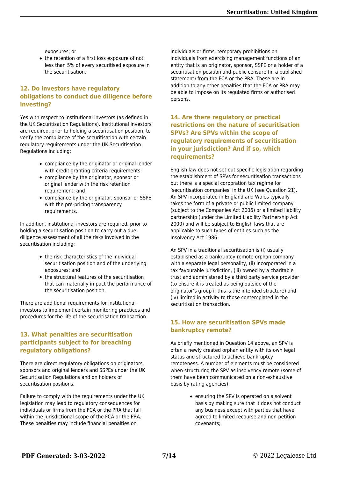exposures; or

• the retention of a first loss exposure of not less than 5% of every securitised exposure in the securitisation.

#### **12. Do investors have regulatory obligations to conduct due diligence before investing?**

Yes with respect to institutional investors (as defined in the UK Securitisation Regulations). Institutional investors are required, prior to holding a securitisation position, to verify the compliance of the securitisation with certain regulatory requirements under the UK Securitisation Regulations including:

- compliance by the originator or original lender with credit granting criteria requirements;
- compliance by the originator, sponsor or original lender with the risk retention requirement; and
- compliance by the originator, sponsor or SSPE with the pre-pricing transparency requirements.

In addition, institutional investors are required, prior to holding a securitisation position to carry out a due diligence assessment of all the risks involved in the securitisation including:

- the risk characteristics of the individual securitisation position and of the underlying exposures; and
- the structural features of the securitisation that can materially impact the performance of the securitisation position.

There are additional requirements for institutional investors to implement certain monitoring practices and procedures for the life of the securitisation transaction.

#### **13. What penalties are securitisation participants subject to for breaching regulatory obligations?**

There are direct regulatory obligations on originators, sponsors and original lenders and SSPEs under the UK Securitisation Regulations and on holders of securitisation positions.

Failure to comply with the requirements under the UK legislation may lead to regulatory consequences for individuals or firms from the FCA or the PRA that fall within the jurisdictional scope of the FCA or the PRA. These penalties may include financial penalties on

individuals or firms, temporary prohibitions on individuals from exercising management functions of an entity that is an originator, sponsor, SSPE or a holder of a securitisation position and public censure (in a published statement) from the FCA or the PRA. These are in addition to any other penalties that the FCA or PRA may be able to impose on its regulated firms or authorised persons.

#### **14. Are there regulatory or practical restrictions on the nature of securitisation SPVs? Are SPVs within the scope of regulatory requirements of securitisation in your jurisdiction? And if so, which requirements?**

English law does not set out specific legislation regarding the establishment of SPVs for securitisation transactions but there is a special corporation tax regime for 'securitisation companies' in the UK (see Question 21). An SPV incorporated in England and Wales typically takes the form of a private or public limited company (subject to the Companies Act 2006) or a limited liability partnership (under the Limited Liability Partnership Act 2000) and will be subject to English laws that are applicable to such types of entities such as the Insolvency Act 1986.

An SPV in a traditional securitisation is (i) usually established as a bankruptcy remote orphan company with a separate legal personality, (ii) incorporated in a tax favourable jurisdiction, (iii) owned by a charitable trust and administered by a third party service provider (to ensure it is treated as being outside of the originator's group if this is the intended structure) and (iv) limited in activity to those contemplated in the securitisation transaction.

#### **15. How are securitisation SPVs made bankruptcy remote?**

As briefly mentioned in Question 14 above, an SPV is often a newly created orphan entity with its own legal status and structured to achieve bankruptcy remoteness. A number of elements must be considered when structuring the SPV as insolvency remote (some of them have been communicated on a non-exhaustive basis by rating agencies):

> ensuring the SPV is operated on a solvent basis by making sure that it does not conduct any business except with parties that have agreed to limited recourse and non-petition covenants;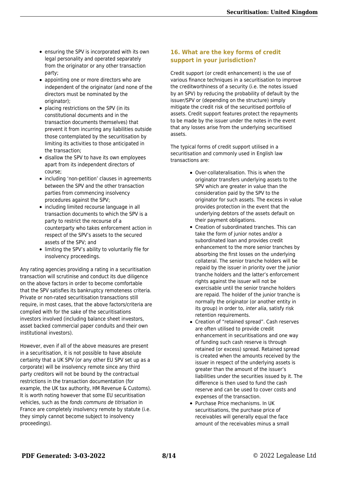- ensuring the SPV is incorporated with its own legal personality and operated separately from the originator or any other transaction party;
- appointing one or more directors who are independent of the originator (and none of the directors must be nominated by the originator);
- placing restrictions on the SPV (in its constitutional documents and in the transaction documents themselves) that prevent it from incurring any liabilities outside those contemplated by the securitisation by limiting its activities to those anticipated in the transaction;
- disallow the SPV to have its own employees apart from its independent directors of course;
- including 'non-petition' clauses in agreements between the SPV and the other transaction parties from commencing insolvency procedures against the SPV;
- including limited recourse language in all transaction documents to which the SPV is a party to restrict the recourse of a counterparty who takes enforcement action in respect of the SPV's assets to the secured assets of the SPV; and
- limiting the SPV's ability to voluntarily file for insolvency proceedings.

Any rating agencies providing a rating in a securitisation transaction will scrutinise and conduct its due diligence on the above factors in order to become comfortable that the SPV satisfies its bankruptcy remoteness criteria. Private or non-rated securitisation transactions still require, in most cases, that the above factors/criteria are complied with for the sake of the securitisations investors involved (including balance sheet investors, asset backed commercial paper conduits and their own institutional investors).

However, even if all of the above measures are present in a securitisation, it is not possible to have absolute certainty that a UK SPV (or any other EU SPV set up as a corporate) will be insolvency remote since any third party creditors will not be bound by the contractual restrictions in the transaction documentation (for example, the UK tax authority, HM Revenue & Customs). It is worth noting however that some EU securitisation vehicles, such as the fonds communs de titrisation in France are completely insolvency remote by statute (i.e. they simply cannot become subject to insolvency proceedings).

#### **16. What are the key forms of credit support in your jurisdiction?**

Credit support (or credit enhancement) is the use of various finance techniques in a securitisation to improve the creditworthiness of a security (i.e. the notes issued by an SPV) by reducing the probability of default by the issuer/SPV or (depending on the structure) simply mitigate the credit risk of the securitised portfolio of assets. Credit support features protect the repayments to be made by the issuer under the notes in the event that any losses arise from the underlying securitised assets.

The typical forms of credit support utilised in a securitisation and commonly used in English law transactions are:

- Over-collateralisation. This is when the originator transfers underlying assets to the SPV which are greater in value than the consideration paid by the SPV to the originator for such assets. The excess in value provides protection in the event that the underlying debtors of the assets default on their payment obligations.
- Creation of subordinated tranches. This can take the form of junior notes and/or a subordinated loan and provides credit enhancement to the more senior tranches by absorbing the first losses on the underlying collateral. The senior tranche holders will be repaid by the issuer in priority over the junior tranche holders and the latter's enforcement rights against the issuer will not be exercisable until the senior tranche holders are repaid. The holder of the junior tranche is normally the originator (or another entity in its group) in order to, inter alia, satisfy risk retention requirements.
- Creation of "retained spread". Cash reserves are often utilised to provide credit enhancement in securitisations and one way of funding such cash reserve is through retained (or excess) spread. Retained spread is created when the amounts received by the issuer in respect of the underlying assets is greater than the amount of the issuer's liabilities under the securities issued by it. The difference is then used to fund the cash reserve and can be used to cover costs and expenses of the transaction.
- Purchase Price mechanisms. In UK securitisations, the purchase price of receivables will generally equal the face amount of the receivables minus a small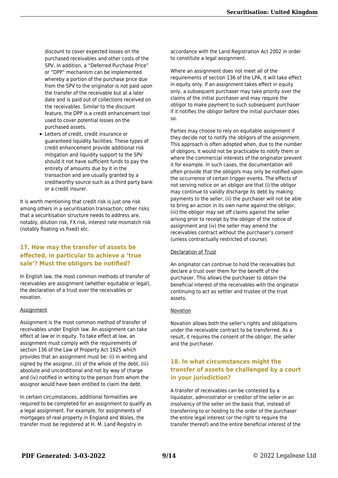discount to cover expected losses on the purchased receivables and other costs of the SPV. In addition, a "Deferred Purchase Price" or "DPP" mechanism can be implemented whereby a portion of the purchase price due from the SPV to the originator is not paid upon the transfer of the receivable but at a later date and is paid out of collections received on the receivables. Similar to the discount feature, the DPP is a credit enhancement tool used to cover potential losses on the purchased assets.

Letters of credit, credit insurance or guaranteed liquidity facilities. These types of credit enhancement provide additional risk mitigation and liquidity support to the SPV should it not have sufficient funds to pay the entirety of amounts due by it in the transaction and are usually granted by a creditworthy source such as a third party bank or a credit insurer.

It is worth mentioning that credit risk is just one risk among others in a securitisation transaction; other risks that a securitisation structure needs to address are, notably, dilution risk, FX risk, interest rate mismatch risk (notably floating vs fixed) etc.

#### **17. How may the transfer of assets be effected, in particular to achieve a 'true sale'? Must the obligors be notified?**

In English law, the most common methods of transfer of receivables are assignment (whether equitable or legal). the declaration of a trust over the receivables or novation.

#### **Assignment**

Assignment is the most common method of transfer of receivables under English law. An assignment can take effect at law or in equity. To take effect at law, an assignment must comply with the requirements of section 136 of the Law of Property Act 1925 which provides that an assignment must be: (i) in writing and signed by the assignor, (ii) of the whole of the debt, (iii) absolute and unconditional and not by way of charge and (iv) notified in writing to the person from whom the assignor would have been entitled to claim the debt.

In certain circumstances, additional formalities are required to be completed for an assignment to qualify as a legal assignment. For example, for assignments of mortgages of real property in England and Wales, the transfer must be registered at H. M. Land Registry in

accordance with the Land Registration Act 2002 in order to constitute a legal assignment.

Where an assignment does not meet all of the requirements of section 136 of the LPA, it will take effect in equity only. If an assignment takes effect in equity only, a subsequent purchaser may take priority over the claims of the initial purchaser and may require the obligor to make payment to such subsequent purchaser if it notifies the obligor before the initial purchaser does so.

Parties may choose to rely on equitable assignment if they decide not to notify the obligors of the assignment. This approach is often adopted when, due to the number of obligors, it would not be practicable to notify them or where the commercial interests of the originator prevent it for example. In such cases, the documentation will often provide that the obligors may only be notified upon the occurrence of certain trigger events. The effects of not serving notice on an obligor are that (i) the obligor may continue to validly discharge its debt by making payments to the seller, (ii) the purchaser will not be able to bring an action in its own name against the obligor, (iii) the obligor may set off claims against the seller arising prior to receipt by the obligor of the notice of assignment and (iv) the seller may amend the receivables contract without the purchaser's consent (unless contractually restricted of course).

#### Declaration of Trust

An originator can continue to hold the receivables but declare a trust over them for the benefit of the purchaser. This allows the purchaser to obtain the beneficial interest of the receivables with the originator continuing to act as settler and trustee of the trust assets.

#### Novation

Novation allows both the seller's rights and obligations under the receivable contract to be transferred. As a result, it requires the consent of the obligor, the seller and the purchaser.

#### **18. In what circumstances might the transfer of assets be challenged by a court in your jurisdiction?**

A transfer of receivables can be contested by a liquidator, administrator or creditor of the seller in an insolvency of the seller on the basis that, instead of transferring to or holding to the order of the purchaser the entire legal interest (or the right to require the transfer thereof) and the entire beneficial interest of the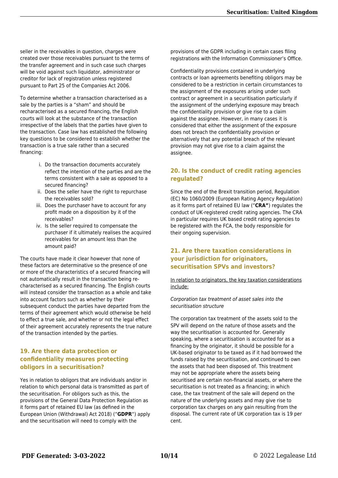seller in the receivables in question, charges were created over those receivables pursuant to the terms of the transfer agreement and in such case such charges will be void against such liquidator, administrator or creditor for lack of registration unless registered pursuant to Part 25 of the Companies Act 2006.

To determine whether a transaction characterised as a sale by the parties is a "sham" and should be recharacterised as a secured financing, the English courts will look at the substance of the transaction irrespective of the labels that the parties have given to the transaction. Case law has established the following key questions to be considered to establish whether the transaction is a true sale rather than a secured financing:

- i. Do the transaction documents accurately reflect the intention of the parties and are the terms consistent with a sale as opposed to a secured financing?
- ii. Does the seller have the right to repurchase the receivables sold?
- iii. Does the purchaser have to account for any profit made on a disposition by it of the receivables?
- iv. Is the seller required to compensate the purchaser if it ultimately realises the acquired receivables for an amount less than the amount paid?

The courts have made it clear however that none of these factors are determinative so the presence of one or more of the characteristics of a secured financing will not automatically result in the transaction being recharacterised as a secured financing. The English courts will instead consider the transaction as a whole and take into account factors such as whether by their subsequent conduct the parties have departed from the terms of their agreement which would otherwise be held to effect a true sale, and whether or not the legal effect of their agreement accurately represents the true nature of the transaction intended by the parties.

#### **19. Are there data protection or confidentiality measures protecting obligors in a securitisation?**

Yes in relation to obligors that are individuals and/or in relation to which personal data is transmitted as part of the securitisation. For obligors such as this, the provisions of the General Data Protection Regulation as it forms part of retained EU law (as defined in the European Union (Withdrawal) Act 2018) ("**GDPR**") apply and the securitisation will need to comply with the

provisions of the GDPR including in certain cases filing registrations with the Information Commissioner's Office.

Confidentiality provisions contained in underlying contracts or loan agreements benefiting obligors may be considered to be a restriction in certain circumstances to the assignment of the exposures arising under such contract or agreement in a securitisation particularly if the assignment of the underlying exposure may breach the confidentiality provision or give rise to a claim against the assignee. However, in many cases it is considered that either the assignment of the exposure does not breach the confidentiality provision or alternatively that any potential breach of the relevant provision may not give rise to a claim against the assignee.

#### **20. Is the conduct of credit rating agencies regulated?**

Since the end of the Brexit transition period, Regulation (EC) No 1060/2009 (European Rating Agency Regulation) as it forms part of retained EU law ("**CRA"**) regulates the conduct of UK-registered credit rating agencies. The CRA in particular requires UK based credit rating agencies to be registered with the FCA, the body responsible for their ongoing supervision.

#### **21. Are there taxation considerations in your jurisdiction for originators, securitisation SPVs and investors?**

In relation to originators, the key taxation considerations include:

Corporation tax treatment of asset sales into the securitisation structure

The corporation tax treatment of the assets sold to the SPV will depend on the nature of those assets and the way the securitisation is accounted for. Generally speaking, where a securitisation is accounted for as a financing by the originator, it should be possible for a UK-based originator to be taxed as if it had borrowed the funds raised by the securitisation, and continued to own the assets that had been disposed of. This treatment may not be appropriate where the assets being securitised are certain non-financial assets, or where the securitisation is not treated as a financing; in which case, the tax treatment of the sale will depend on the nature of the underlying assets and may give rise to corporation tax charges on any gain resulting from the disposal. The current rate of UK corporation tax is 19 per cent.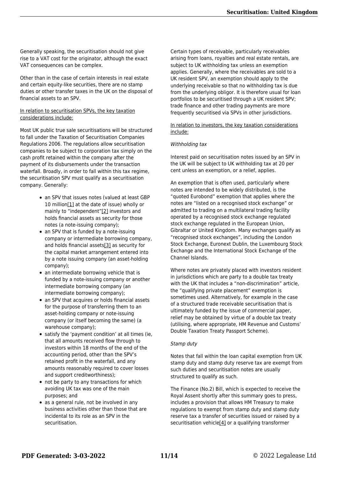Generally speaking, the securitisation should not give rise to a VAT cost for the originator, although the exact VAT consequences can be complex.

Other than in the case of certain interests in real estate and certain equity-like securities, there are no stamp duties or other transfer taxes in the UK on the disposal of financial assets to an SPV.

#### In relation to securitisation SPVs, the key taxation considerations include:

Most UK public true sale securitisations will be structured to fall under the Taxation of Securitisation Companies Regulations 2006. The regulations allow securitisation companies to be subject to corporation tax simply on the cash profit retained within the company after the payment of its disbursements under the transaction waterfall. Broadly, in order to fall within this tax regime, the securitisation SPV must qualify as a securitisation company. Generally:

- <span id="page-10-1"></span><span id="page-10-0"></span>• an SPV that issues notes (valued at least GBP 10 million[\[1\]](#page-11-0) at the date of issue) wholly or mainly to "independent["\[2\]](#page-11-1) investors and holds financial assets as security for those notes (a note-issuing company);
- <span id="page-10-2"></span>• an SPV that is funded by a note-issuing company or intermediate borrowing company, and holds financial assets[\[3\]](#page-11-2) as security for the capital market arrangement entered into by a note issuing company (an asset-holding company);
- an intermediate borrowing vehicle that is funded by a note-issuing company or another intermediate borrowing company (an intermediate borrowing company);
- an SPV that acquires or holds financial assets for the purpose of transferring them to an asset-holding company or note-issuing company (or itself becoming the same) (a warehouse company);
- satisfy the 'payment condition' at all times (ie, that all amounts received flow through to investors within 18 months of the end of the accounting period, other than the SPV's retained profit in the waterfall, and any amounts reasonably required to cover losses and support creditworthiness);
- not be party to any transactions for which avoiding UK tax was one of the main purposes; and
- <span id="page-10-3"></span>• as a general rule, not be involved in any business activities other than those that are incidental to its role as an SPV in the securitisation.

Certain types of receivable, particularly receivables arising from loans, royalties and real estate rentals, are subject to UK withholding tax unless an exemption applies. Generally, where the receivables are sold to a UK resident SPV, an exemption should apply to the underlying receivable so that no withholding tax is due from the underlying obligor. It is therefore usual for loan portfolios to be securitised through a UK resident SPV; trade finance and other trading payments are more frequently securitised via SPVs in other jurisdictions.

In relation to investors, the key taxation considerations include:

#### Withholding tax

Interest paid on securitisation notes issued by an SPV in the UK will be subject to UK withholding tax at 20 per cent unless an exemption, or a relief, applies.

An exemption that is often used, particularly where notes are intended to be widely distributed, is the "quoted Eurobond" exemption that applies where the notes are "listed on a recognised stock exchange" or admitted to trading on a multilateral trading facility operated by a recognised stock exchange regulated stock exchange regulated in the European Union, Gibraltar or United Kingdom. Many exchanges qualify as "recognised stock exchanges", including the London Stock Exchange, Euronext Dublin, the Luxembourg Stock Exchange and the International Stock Exchange of the Channel Islands.

Where notes are privately placed with investors resident in jurisdictions which are party to a double tax treaty with the UK that includes a "non-discrimination" article, the "qualifying private placement" exemption is sometimes used. Alternatively, for example in the case of a structured trade receivable securitisation that is ultimately funded by the issue of commercial paper, relief may be obtained by virtue of a double tax treaty (utilising, where appropriate, HM Revenue and Customs' Double Taxation Treaty Passport Scheme).

#### Stamp duty

Notes that fall within the loan capital exemption from UK stamp duty and stamp duty reserve tax are exempt from such duties and securitisation notes are usually structured to qualify as such.

The Finance (No.2) Bill, which is expected to receive the Royal Assent shortly after this summary goes to press, includes a provision that allows HM Treasury to make regulations to exempt from stamp duty and stamp duty reserve tax a transfer of securities issued or raised by a securitisation vehicle<sup>[4]</sup> or a qualifying transformer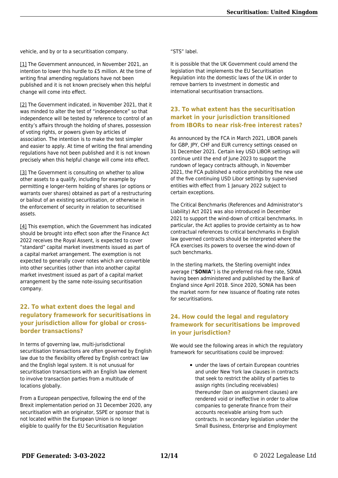vehicle, and by or to a securitisation company.

<span id="page-11-0"></span>[\[1\]](#page-10-0) The Government announced, in November 2021, an intention to lower this hurdle to £5 million. At the time of writing final amending regulations have not been published and it is not known precisely when this helpful change will come into effect.

<span id="page-11-1"></span>[\[2\]](#page-10-1) The Government indicated, in November 2021, that it was minded to alter the test of "independence" so that independence will be tested by reference to control of an entity's affairs through the holding of shares, possession of voting rights, or powers given by articles of association. The intention is to make the test simpler and easier to apply. At time of writing the final amending regulations have not been published and it is not known precisely when this helpful change will come into effect.

<span id="page-11-2"></span>[\[3\]](#page-10-2) The Government is consulting on whether to allow other assets to a qualify, including for example by permitting e longer-term holding of shares (or options or warrants over shares) obtained as part of a restructuring or bailout of an existing securitisation, or otherwise in the enforcement of security in relation to securitised assets.

<span id="page-11-3"></span>[\[4\]](#page-10-3) This exemption, which the Government has indicated should be brought into effect soon after the Finance Act 2022 receives the Royal Assent, is expected to cover "standard" capital market investments issued as part of a capital market arrangement. The exemption is not expected to generally cover notes which are convertible into other securities (other than into another capital market investment issued as part of a capital market arrangement by the same note-issuing securitisation company.

#### **22. To what extent does the legal and regulatory framework for securitisations in your jurisdiction allow for global or crossborder transactions?**

In terms of governing law, multi-jurisdictional securitisation transactions are often governed by English law due to the flexibility offered by English contract law and the English legal system. It is not unusual for securitisation transactions with an English law element to involve transaction parties from a multitude of locations globally.

From a European perspective, following the end of the Brexit implementation period on 31 December 2020, any securitisation with an originator, SSPE or sponsor that is not located within the European Union is no longer eligible to qualify for the EU Securitisation Regulation

"STS" label.

It is possible that the UK Government could amend the legislation that implements the EU Securitisation Regulation into the domestic laws of the UK in order to remove barriers to investment in domestic and international securitisation transactions.

#### **23. To what extent has the securitisation market in your jurisdiction transitioned from IBORs to near risk-free interest rates?**

As announced by the FCA in March 2021, LIBOR panels for GBP, JPY, CHF and EUR currency settings ceased on 31 December 2021. Certain key USD LIBOR settings will continue until the end of June 2023 to support the rundown of legacy contracts although, in November 2021, the FCA published a notice prohibiting the new use of the five continuing USD Libor settings by supervised entities with effect from 1 January 2022 subject to certain exceptions.

The Critical Benchmarks (References and Administrator's Liability) Act 2021 was also introduced in December 2021 to support the wind-down of critical benchmarks. In particular, the Act applies to provide certainty as to how contractual references to critical benchmarks in English law governed contracts should be interpreted where the FCA exercises its powers to oversee the wind-down of such benchmarks.

In the sterling markets, the Sterling overnight index average ("**SONIA**") is the preferred risk-free rate, SONIA having been administered and published by the Bank of England since April 2018. Since 2020, SONIA has been the market norm for new issuance of floating rate notes for securitisations.

#### **24. How could the legal and regulatory framework for securitisations be improved in your jurisdiction?**

We would see the following areas in which the regulatory framework for securitisations could be improved:

> under the laws of certain European countries and under New York law clauses in contracts that seek to restrict the ability of parties to assign rights (including receivables) thereunder (ban on assignment clauses) are rendered void or ineffective in order to allow companies to generate finance from their accounts receivable arising from such contracts. In secondary legislation under the Small Business, Enterprise and Employment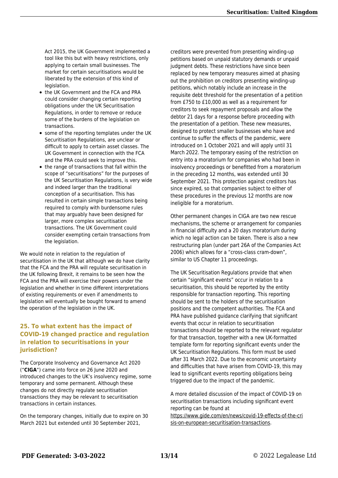Act 2015, the UK Government implemented a tool like this but with heavy restrictions, only applying to certain small businesses. The market for certain securitisations would be liberated by the extension of this kind of legislation.

- the UK Government and the FCA and PRA could consider changing certain reporting obligations under the UK Securitisation Regulations, in order to remove or reduce some of the burdens of the legislation on transactions.
- some of the reporting templates under the UK Securitisation Regulations, are unclear or difficult to apply to certain asset classes. The UK Government in connection with the FCA and the PRA could seek to improve this.
- the range of transactions that fall within the scope of "securitisations" for the purposes of the UK Securitisation Regulations, is very wide and indeed larger than the traditional conception of a securitisation. This has resulted in certain simple transactions being required to comply with burdensome rules that may arguably have been designed for larger, more complex securitisation transactions. The UK Government could consider exempting certain transactions from the legislation.

We would note in relation to the regulation of securitisation in the UK that although we do have clarity that the FCA and the PRA will regulate securitisation in the UK following Brexit, it remains to be seen how the FCA and the PRA will exercise their powers under the legislation and whether in time different interpretations of existing requirements or even if amendments to legislation will eventually be bought forward to amend the operation of the legislation in the UK.

#### **25. To what extent has the impact of COVID-19 changed practice and regulation in relation to securitisations in your jurisdiction?**

The Corporate Insolvency and Governance Act 2020 ("**CIGA**") came into force on 26 June 2020 and introduced changes to the UK's insolvency regime, some temporary and some permanent. Although these changes do not directly regulate securitisation transactions they may be relevant to securitisation transactions in certain instances.

On the temporary changes, initially due to expire on 30 March 2021 but extended until 30 September 2021,

creditors were prevented from presenting winding-up petitions based on unpaid statutory demands or unpaid judgment debts. These restrictions have since been replaced by new temporary measures aimed at phasing out the prohibition on creditors presenting winding-up petitions, which notably include an increase in the requisite debt threshold for the presentation of a petition from £750 to £10,000 as well as a requirement for creditors to seek repayment proposals and allow the debtor 21 days for a response before proceeding with the presentation of a petition. These new measures, designed to protect smaller businesses who have and continue to suffer the effects of the pandemic, were introduced on 1 October 2021 and will apply until 31 March 2022. The temporary easing of the restriction on entry into a moratorium for companies who had been in insolvency proceedings or benefitted from a moratorium in the preceding 12 months, was extended until 30 September 2021. This protection against creditors has since expired, so that companies subject to either of these procedures in the previous 12 months are now ineligible for a moratorium.

Other permanent changes in CIGA are two new rescue mechanisms, the scheme or arrangement for companies in financial difficulty and a 20 days moratorium during which no legal action can be taken. There is also a new restructuring plan (under part 26A of the Companies Act 2006) which allows for a "cross-class cram-down", similar to US Chapter 11 proceedings.

The UK Securitisation Regulations provide that when certain "significant events" occur in relation to a securitisation, this should be reported by the entity responsible for transaction reporting. This reporting should be sent to the holders of the securitisation positions and the competent authorities. The FCA and PRA have published guidance clarifying that significant events that occur in relation to securitisation transactions should be reported to the relevant regulator for that transaction, together with a new UK-formatted template form for reporting significant events under the UK Securitisation Regulations. This form must be used after 31 March 2022. Due to the economic uncertainty and difficulties that have arisen from COVID-19, this may lead to significant events reporting obligations being triggered due to the impact of the pandemic.

A more detailed discussion of the impact of COVID-19 on securitisation transactions including significant event reporting can be found at

[https://www.gide.com/en/news/covid-19-effects-of-the-cri](https://www.gide.com/en/news/covid-19-effects-of-the-crisis-on-european-securitisation-transactions) [sis-on-european-securitisation-transactions](https://www.gide.com/en/news/covid-19-effects-of-the-crisis-on-european-securitisation-transactions).